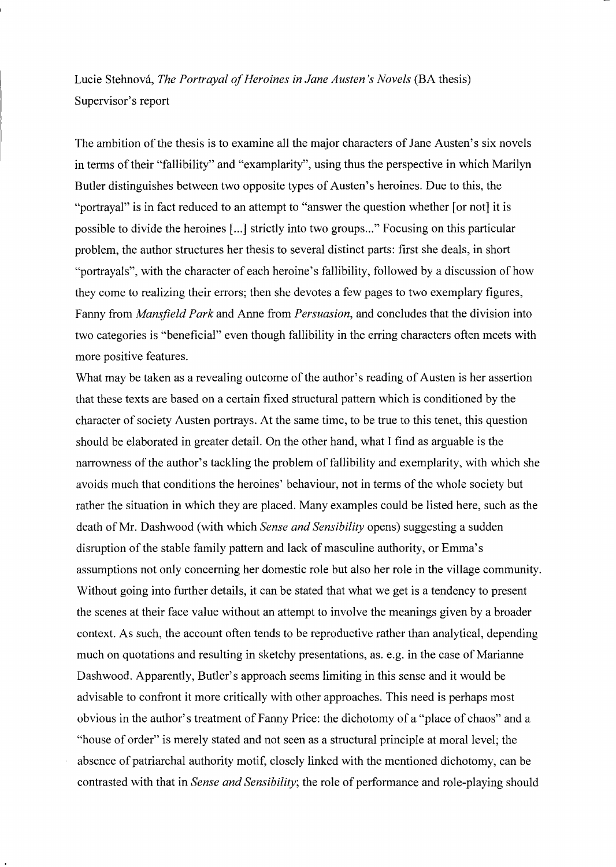Lucie Stehnova, *The Portrayal of Heroines in Jane Austen* 's *Novels* (BA thesis) Supervisor's report

The ambition of the thesis is to examine all the major characters of lane Austen's six novels in terms of their "fallibility" and "examplarity", using thus the perspective in which Marilyn Butler distinguishes between two opposite types of Austen's heroines. Due to this, the "portrayal" is in fact reduced to an attempt to "answer the question whether [or not] it is possible to divide the heroines [ ... ] strictly into two groups ... " Focusing on this particular problem, the author structures her thesis to several distinct parts: first she deals, in short "portrayals", with the character of each heroine's fallibility, followed by a discussion of how they come to realizing their errors; then she devotes a few pages to two exemplary figures, Fanny from *Mansjield Park* and Anne from *Persuasion,* and concludes that the division into two categories is "beneficial" even though fallibility in the erring characters often meets with more positive features.

What may be taken as a revealing outcome of the author's reading of Austen is her assertion that these texts are based on a certain fixed structural pattern which is conditioned by the character of society Austen portrays. At the same time, to be true to this tenet, this question should be elaborated in greater detail. On the other hand, what I find as arguable is the narrowness of the author's tackling the problem of fallibility and exemplarity, with which she avoids much that conditions the heroines' behaviour, not in terms of the whole society but rather the situation in which they are placed. Many examples could be listed here, such as the death of Mr. Dashwood (with which *Sense and Sensibility* opens) suggesting a sudden disruption of the stable family pattern and lack of masculine authority, or Emma's assumptions not only concerning her domestic role but also her role in the village community. Without going into further details, it can be stated that what we get is a tendency to present the scenes at their face value without an attempt to involve the meanings given by a broader context. As such, the account often tends to be reproductive rather than analytical, depending much on quotations and resulting in sketchy presentations, as. e.g. in the case of Marianne Dashwood. Apparently, Butler's approach seems limiting in this sense and it would be advisable to confront it more critically with other approaches. This need is perhaps most obvious in the author's treatment of Fanny Price: the dichotomy of a "place of chaos" and a "house of order" is merely stated and not seen as a structural principle at moral level; the absence of patriarchal authority motif, closely linked with the mentioned dichotomy, can be contrasted with that in *Sense and Sensibility;* the role of performance and role-playing should